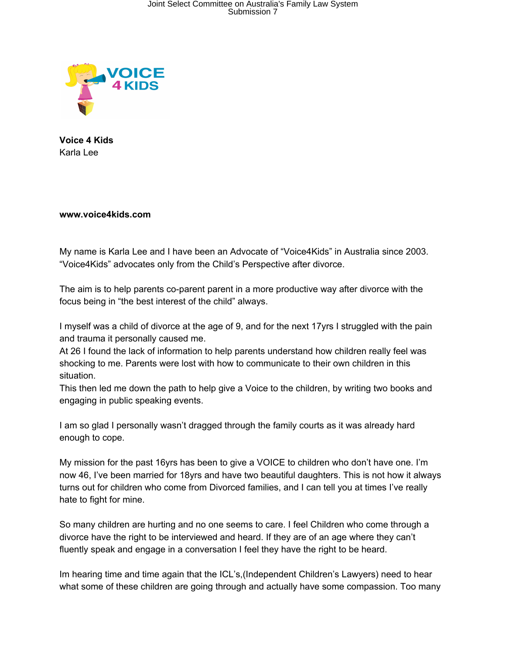

**Voice 4 Kids** Karla Lee

**www.voice4kids.com**

My name is Karla Lee and I have been an Advocate of "Voice4Kids" in Australia since 2003. "Voice4Kids" advocates only from the Child's Perspective after divorce.

The aim is to help parents co-parent parent in a more productive way after divorce with the focus being in "the best interest of the child" always.

I myself was a child of divorce at the age of 9, and for the next 17yrs I struggled with the pain and trauma it personally caused me.

At 26 I found the lack of information to help parents understand how children really feel was shocking to me. Parents were lost with how to communicate to their own children in this situation.

This then led me down the path to help give a Voice to the children, by writing two books and engaging in public speaking events.

I am so glad I personally wasn't dragged through the family courts as it was already hard enough to cope.

My mission for the past 16yrs has been to give a VOICE to children who don't have one. I'm now 46, I've been married for 18yrs and have two beautiful daughters. This is not how it always turns out for children who come from Divorced families, and I can tell you at times I've really hate to fight for mine.

So many children are hurting and no one seems to care. I feel Children who come through a divorce have the right to be interviewed and heard. If they are of an age where they can't fluently speak and engage in a conversation I feel they have the right to be heard.

Im hearing time and time again that the ICL's,(Independent Children's Lawyers) need to hear what some of these children are going through and actually have some compassion. Too many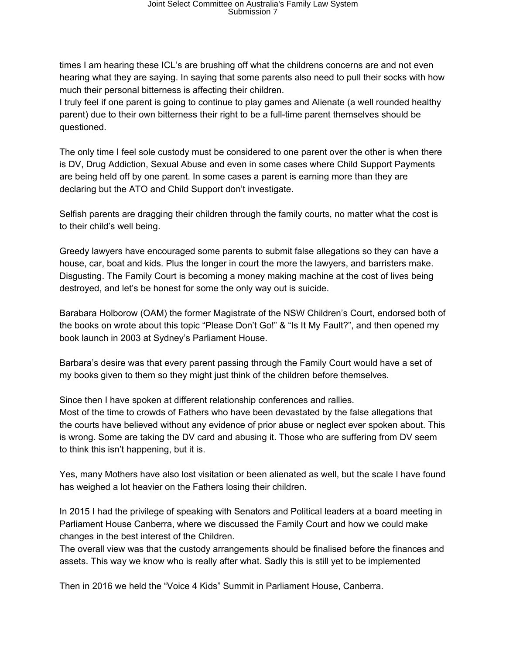times I am hearing these ICL's are brushing off what the childrens concerns are and not even hearing what they are saying. In saying that some parents also need to pull their socks with how much their personal bitterness is affecting their children.

I truly feel if one parent is going to continue to play games and Alienate (a well rounded healthy parent) due to their own bitterness their right to be a full-time parent themselves should be questioned.

The only time I feel sole custody must be considered to one parent over the other is when there is DV, Drug Addiction, Sexual Abuse and even in some cases where Child Support Payments are being held off by one parent. In some cases a parent is earning more than they are declaring but the ATO and Child Support don't investigate.

Selfish parents are dragging their children through the family courts, no matter what the cost is to their child's well being.

Greedy lawyers have encouraged some parents to submit false allegations so they can have a house, car, boat and kids. Plus the longer in court the more the lawyers, and barristers make. Disgusting. The Family Court is becoming a money making machine at the cost of lives being destroyed, and let's be honest for some the only way out is suicide.

Barabara Holborow (OAM) the former Magistrate of the NSW Children's Court, endorsed both of the books on wrote about this topic "Please Don't Go!" & "Is It My Fault?", and then opened my book launch in 2003 at Sydney's Parliament House.

Barbara's desire was that every parent passing through the Family Court would have a set of my books given to them so they might just think of the children before themselves.

Since then I have spoken at different relationship conferences and rallies. Most of the time to crowds of Fathers who have been devastated by the false allegations that the courts have believed without any evidence of prior abuse or neglect ever spoken about. This is wrong. Some are taking the DV card and abusing it. Those who are suffering from DV seem to think this isn't happening, but it is.

Yes, many Mothers have also lost visitation or been alienated as well, but the scale I have found has weighed a lot heavier on the Fathers losing their children.

In 2015 I had the privilege of speaking with Senators and Political leaders at a board meeting in Parliament House Canberra, where we discussed the Family Court and how we could make changes in the best interest of the Children.

The overall view was that the custody arrangements should be finalised before the finances and assets. This way we know who is really after what. Sadly this is still yet to be implemented

Then in 2016 we held the "Voice 4 Kids" Summit in Parliament House, Canberra.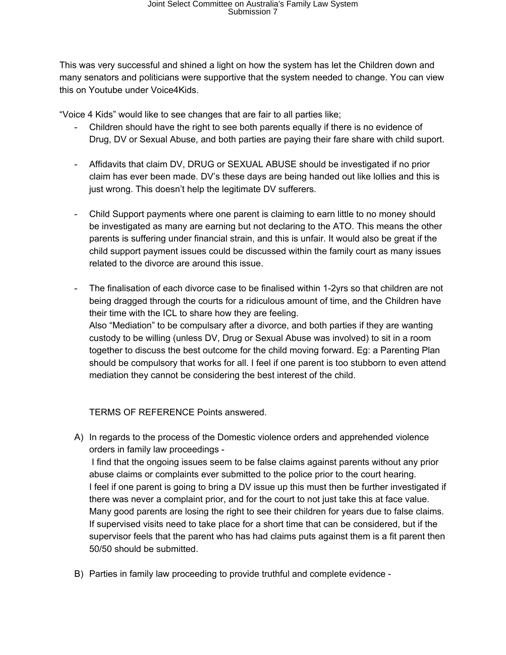## Joint Select Committee on Australia's Family Law System Submission 7

This was very successful and shined a light on how the system has let the Children down and many senators and politicians were supportive that the system needed to change. You can view this on Youtube under Voice4Kids.

"Voice 4 Kids" would like to see changes that are fair to all parties like;

- Children should have the right to see both parents equally if there is no evidence of Drug, DV or Sexual Abuse, and both parties are paying their fare share with child suport.
- Affidavits that claim DV, DRUG or SEXUAL ABUSE should be investigated if no prior claim has ever been made. DV's these days are being handed out like lollies and this is just wrong. This doesn't help the legitimate DV sufferers.
- Child Support payments where one parent is claiming to earn little to no money should be investigated as many are earning but not declaring to the ATO. This means the other parents is suffering under financial strain, and this is unfair. It would also be great if the child support payment issues could be discussed within the family court as many issues related to the divorce are around this issue.
- The finalisation of each divorce case to be finalised within 1-2yrs so that children are not being dragged through the courts for a ridiculous amount of time, and the Children have their time with the ICL to share how they are feeling. Also "Mediation" to be compulsary after a divorce, and both parties if they are wanting custody to be willing (unless DV, Drug or Sexual Abuse was involved) to sit in a room together to discuss the best outcome for the child moving forward. Eg: a Parenting Plan should be compulsory that works for all. I feel if one parent is too stubborn to even attend mediation they cannot be considering the best interest of the child.

TERMS OF REFERENCE Points answered.

- A) In regards to the process of the Domestic violence orders and apprehended violence orders in family law proceedings - I find that the ongoing issues seem to be false claims against parents without any prior abuse claims or complaints ever submitted to the police prior to the court hearing. I feel if one parent is going to bring a DV issue up this must then be further investigated if there was never a complaint prior, and for the court to not just take this at face value. Many good parents are losing the right to see their children for years due to false claims. If supervised visits need to take place for a short time that can be considered, but if the supervisor feels that the parent who has had claims puts against them is a fit parent then 50/50 should be submitted.
- B) Parties in family law proceeding to provide truthful and complete evidence -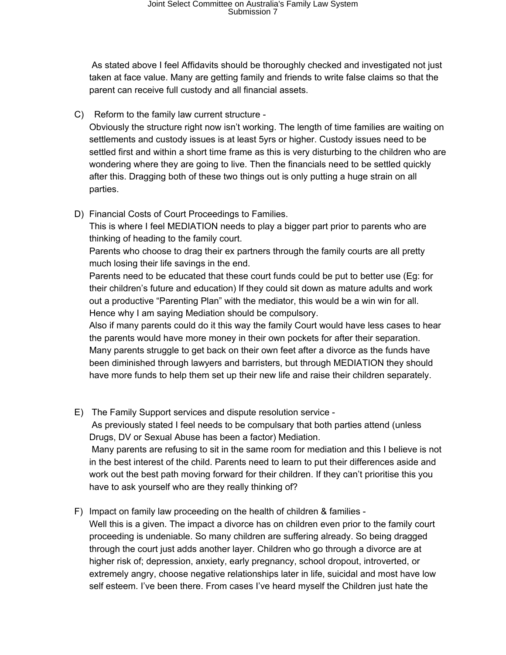As stated above I feel Affidavits should be thoroughly checked and investigated not just taken at face value. Many are getting family and friends to write false claims so that the parent can receive full custody and all financial assets.

C) Reform to the family law current structure -

Obviously the structure right now isn't working. The length of time families are waiting on settlements and custody issues is at least 5yrs or higher. Custody issues need to be settled first and within a short time frame as this is very disturbing to the children who are wondering where they are going to live. Then the financials need to be settled quickly after this. Dragging both of these two things out is only putting a huge strain on all parties.

D) Financial Costs of Court Proceedings to Families.

This is where I feel MEDIATION needs to play a bigger part prior to parents who are thinking of heading to the family court.

Parents who choose to drag their ex partners through the family courts are all pretty much losing their life savings in the end.

Parents need to be educated that these court funds could be put to better use (Eg: for their children's future and education) If they could sit down as mature adults and work out a productive "Parenting Plan" with the mediator, this would be a win win for all. Hence why I am saying Mediation should be compulsory.

Also if many parents could do it this way the family Court would have less cases to hear the parents would have more money in their own pockets for after their separation. Many parents struggle to get back on their own feet after a divorce as the funds have been diminished through lawyers and barristers, but through MEDIATION they should have more funds to help them set up their new life and raise their children separately.

- E) The Family Support services and dispute resolution service As previously stated I feel needs to be compulsary that both parties attend (unless Drugs, DV or Sexual Abuse has been a factor) Mediation. Many parents are refusing to sit in the same room for mediation and this I believe is not in the best interest of the child. Parents need to learn to put their differences aside and work out the best path moving forward for their children. If they can't prioritise this you have to ask yourself who are they really thinking of?
- F) Impact on family law proceeding on the health of children & families Well this is a given. The impact a divorce has on children even prior to the family court proceeding is undeniable. So many children are suffering already. So being dragged through the court just adds another layer. Children who go through a divorce are at higher risk of; depression, anxiety, early pregnancy, school dropout, introverted, or extremely angry, choose negative relationships later in life, suicidal and most have low self esteem. I've been there. From cases I've heard myself the Children just hate the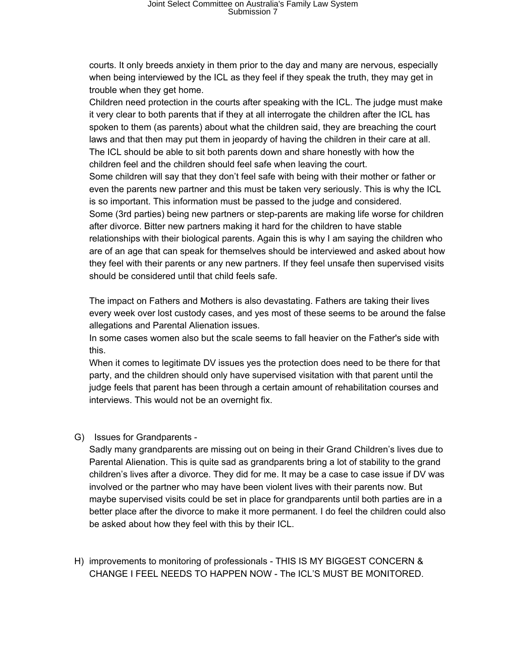courts. It only breeds anxiety in them prior to the day and many are nervous, especially when being interviewed by the ICL as they feel if they speak the truth, they may get in trouble when they get home.

Children need protection in the courts after speaking with the ICL. The judge must make it very clear to both parents that if they at all interrogate the children after the ICL has spoken to them (as parents) about what the children said, they are breaching the court laws and that then may put them in jeopardy of having the children in their care at all. The ICL should be able to sit both parents down and share honestly with how the children feel and the children should feel safe when leaving the court. Some children will say that they don't feel safe with being with their mother or father or even the parents new partner and this must be taken very seriously. This is why the ICL is so important. This information must be passed to the judge and considered. Some (3rd parties) being new partners or step-parents are making life worse for children after divorce. Bitter new partners making it hard for the children to have stable relationships with their biological parents. Again this is why I am saying the children who are of an age that can speak for themselves should be interviewed and asked about how they feel with their parents or any new partners. If they feel unsafe then supervised visits should be considered until that child feels safe.

The impact on Fathers and Mothers is also devastating. Fathers are taking their lives every week over lost custody cases, and yes most of these seems to be around the false allegations and Parental Alienation issues.

In some cases women also but the scale seems to fall heavier on the Father's side with this.

When it comes to legitimate DV issues yes the protection does need to be there for that party, and the children should only have supervised visitation with that parent until the judge feels that parent has been through a certain amount of rehabilitation courses and interviews. This would not be an overnight fix.

G) Issues for Grandparents -

Sadly many grandparents are missing out on being in their Grand Children's lives due to Parental Alienation. This is quite sad as grandparents bring a lot of stability to the grand children's lives after a divorce. They did for me. It may be a case to case issue if DV was involved or the partner who may have been violent lives with their parents now. But maybe supervised visits could be set in place for grandparents until both parties are in a better place after the divorce to make it more permanent. I do feel the children could also be asked about how they feel with this by their ICL.

H) improvements to monitoring of professionals - THIS IS MY BIGGEST CONCERN & CHANGE I FEEL NEEDS TO HAPPEN NOW - The ICL'S MUST BE MONITORED.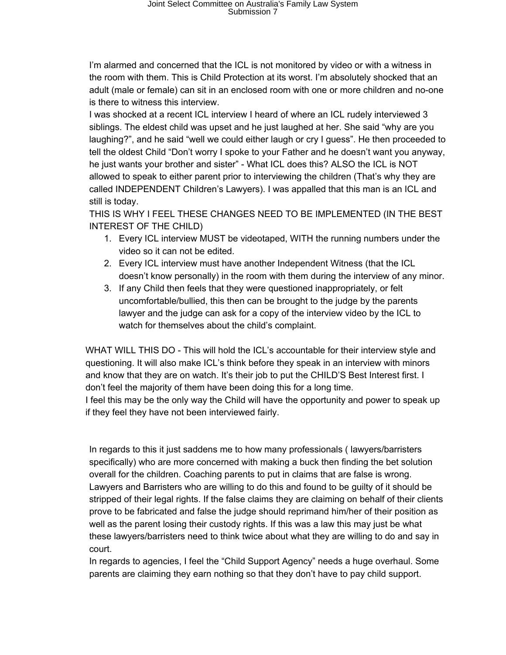I'm alarmed and concerned that the ICL is not monitored by video or with a witness in the room with them. This is Child Protection at its worst. I'm absolutely shocked that an adult (male or female) can sit in an enclosed room with one or more children and no-one is there to witness this interview.

I was shocked at a recent ICL interview I heard of where an ICL rudely interviewed 3 siblings. The eldest child was upset and he just laughed at her. She said "why are you laughing?", and he said "well we could either laugh or cry I guess". He then proceeded to tell the oldest Child "Don't worry I spoke to your Father and he doesn't want you anyway, he just wants your brother and sister" - What ICL does this? ALSO the ICL is NOT allowed to speak to either parent prior to interviewing the children (That's why they are called INDEPENDENT Children's Lawyers). I was appalled that this man is an ICL and still is today.

THIS IS WHY I FEEL THESE CHANGES NEED TO BE IMPLEMENTED (IN THE BEST INTEREST OF THE CHILD)

- 1. Every ICL interview MUST be videotaped, WITH the running numbers under the video so it can not be edited.
- 2. Every ICL interview must have another Independent Witness (that the ICL doesn't know personally) in the room with them during the interview of any minor.
- 3. If any Child then feels that they were questioned inappropriately, or felt uncomfortable/bullied, this then can be brought to the judge by the parents lawyer and the judge can ask for a copy of the interview video by the ICL to watch for themselves about the child's complaint.

WHAT WILL THIS DO - This will hold the ICL's accountable for their interview style and questioning. It will also make ICL's think before they speak in an interview with minors and know that they are on watch. It's their job to put the CHILD'S Best Interest first. I don't feel the majority of them have been doing this for a long time. I feel this may be the only way the Child will have the opportunity and power to speak up if they feel they have not been interviewed fairly.

In regards to this it just saddens me to how many professionals ( lawyers/barristers specifically) who are more concerned with making a buck then finding the bet solution overall for the children. Coaching parents to put in claims that are false is wrong. Lawyers and Barristers who are willing to do this and found to be guilty of it should be stripped of their legal rights. If the false claims they are claiming on behalf of their clients prove to be fabricated and false the judge should reprimand him/her of their position as well as the parent losing their custody rights. If this was a law this may just be what these lawyers/barristers need to think twice about what they are willing to do and say in court.

In regards to agencies, I feel the "Child Support Agency" needs a huge overhaul. Some parents are claiming they earn nothing so that they don't have to pay child support.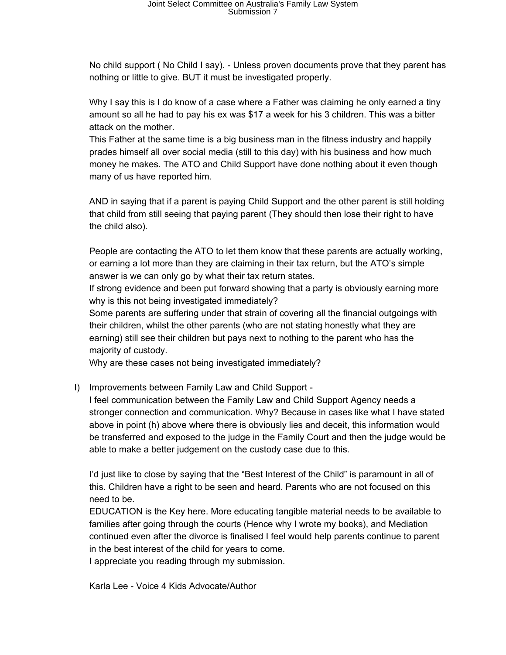No child support ( No Child I say). - Unless proven documents prove that they parent has nothing or little to give. BUT it must be investigated properly.

Why I say this is I do know of a case where a Father was claiming he only earned a tiny amount so all he had to pay his ex was \$17 a week for his 3 children. This was a bitter attack on the mother.

This Father at the same time is a big business man in the fitness industry and happily prades himself all over social media (still to this day) with his business and how much money he makes. The ATO and Child Support have done nothing about it even though many of us have reported him.

AND in saying that if a parent is paying Child Support and the other parent is still holding that child from still seeing that paying parent (They should then lose their right to have the child also).

People are contacting the ATO to let them know that these parents are actually working, or earning a lot more than they are claiming in their tax return, but the ATO's simple answer is we can only go by what their tax return states.

If strong evidence and been put forward showing that a party is obviously earning more why is this not being investigated immediately?

Some parents are suffering under that strain of covering all the financial outgoings with their children, whilst the other parents (who are not stating honestly what they are earning) still see their children but pays next to nothing to the parent who has the majority of custody.

Why are these cases not being investigated immediately?

## I) Improvements between Family Law and Child Support -

I feel communication between the Family Law and Child Support Agency needs a stronger connection and communication. Why? Because in cases like what I have stated above in point (h) above where there is obviously lies and deceit, this information would be transferred and exposed to the judge in the Family Court and then the judge would be able to make a better judgement on the custody case due to this.

I'd just like to close by saying that the "Best Interest of the Child" is paramount in all of this. Children have a right to be seen and heard. Parents who are not focused on this need to be.

EDUCATION is the Key here. More educating tangible material needs to be available to families after going through the courts (Hence why I wrote my books), and Mediation continued even after the divorce is finalised I feel would help parents continue to parent in the best interest of the child for years to come.

I appreciate you reading through my submission.

Karla Lee - Voice 4 Kids Advocate/Author